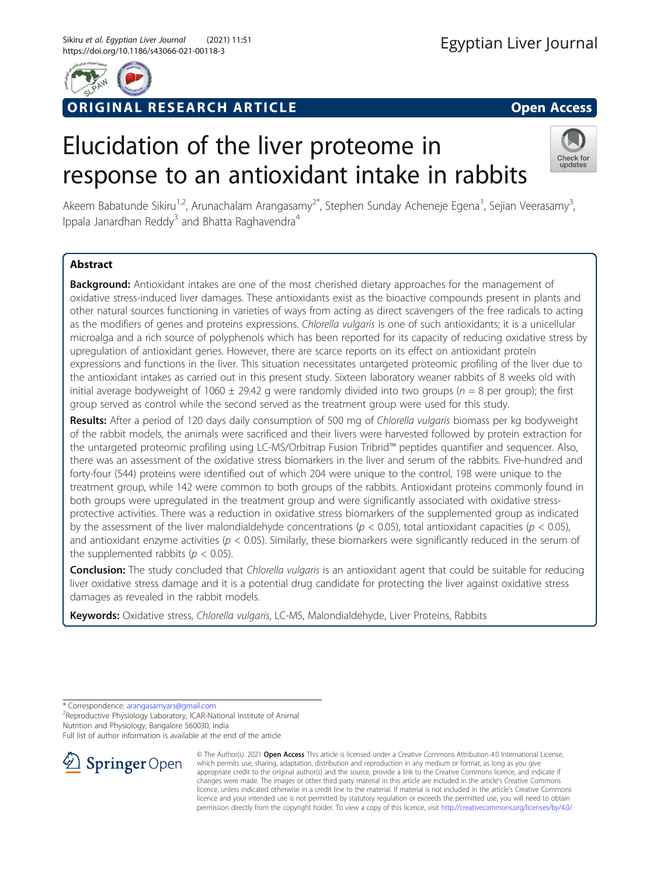

# RIGINAL RESEARCH ARTICLE **And Contact Access** open Access

# Elucidation of the liver proteome in response to an antioxidant intake in rabbits



Akeem Babatunde Sikiru<sup>1,2</sup>, Arunachalam Arangasamy<sup>2\*</sup>, Stephen Sunday Acheneje Egena<sup>1</sup>, Sejian Veerasamy<sup>3</sup> , Ippala Janardhan Reddy<sup>3</sup> and Bhatta Raghavendra<sup>4</sup>

# Abstract

**Background:** Antioxidant intakes are one of the most cherished dietary approaches for the management of oxidative stress-induced liver damages. These antioxidants exist as the bioactive compounds present in plants and other natural sources functioning in varieties of ways from acting as direct scavengers of the free radicals to acting as the modifiers of genes and proteins expressions. Chlorella vulgaris is one of such antioxidants; it is a unicellular microalga and a rich source of polyphenols which has been reported for its capacity of reducing oxidative stress by upregulation of antioxidant genes. However, there are scarce reports on its effect on antioxidant protein expressions and functions in the liver. This situation necessitates untargeted proteomic profiling of the liver due to the antioxidant intakes as carried out in this present study. Sixteen laboratory weaner rabbits of 8 weeks old with initial average bodyweight of 1060  $\pm$  29.42 g were randomly divided into two groups ( $n = 8$  per group); the first group served as control while the second served as the treatment group were used for this study.

Results: After a period of 120 days daily consumption of 500 mg of Chlorella vulgaris biomass per kg bodyweight of the rabbit models, the animals were sacrificed and their livers were harvested followed by protein extraction for the untargeted proteomic profiling using LC-MS/Orbitrap Fusion Tribrid™ peptides quantifier and sequencer. Also, there was an assessment of the oxidative stress biomarkers in the liver and serum of the rabbits. Five-hundred and forty-four (544) proteins were identified out of which 204 were unique to the control, 198 were unique to the treatment group, while 142 were common to both groups of the rabbits. Antioxidant proteins commonly found in both groups were upregulated in the treatment group and were significantly associated with oxidative stressprotective activities. There was a reduction in oxidative stress biomarkers of the supplemented group as indicated by the assessment of the liver malondialdehyde concentrations ( $p < 0.05$ ), total antioxidant capacities ( $p < 0.05$ ), and antioxidant enzyme activities ( $p < 0.05$ ). Similarly, these biomarkers were significantly reduced in the serum of the supplemented rabbits ( $p < 0.05$ ).

Conclusion: The study concluded that Chlorella vulgaris is an antioxidant agent that could be suitable for reducing liver oxidative stress damage and it is a potential drug candidate for protecting the liver against oxidative stress damages as revealed in the rabbit models.

Keywords: Oxidative stress, Chlorella vulgaris, LC-MS, Malondialdehyde, Liver Proteins, Rabbits

\* Correspondence: [arangasamyars@gmail.com](mailto:arangasamyars@gmail.com) <sup>2</sup>

<sup>2</sup>Reproductive Physiology Laboratory, ICAR-National Institute of Animal Nutrition and Physiology, Bangalore 560030, India

Full list of author information is available at the end of the article



© The Author(s). 2021 Open Access This article is licensed under a Creative Commons Attribution 4.0 International License, which permits use, sharing, adaptation, distribution and reproduction in any medium or format, as long as you give appropriate credit to the original author(s) and the source, provide a link to the Creative Commons licence, and indicate if changes were made. The images or other third party material in this article are included in the article's Creative Commons licence, unless indicated otherwise in a credit line to the material. If material is not included in the article's Creative Commons licence and your intended use is not permitted by statutory regulation or exceeds the permitted use, you will need to obtain permission directly from the copyright holder. To view a copy of this licence, visit <http://creativecommons.org/licenses/by/4.0/>.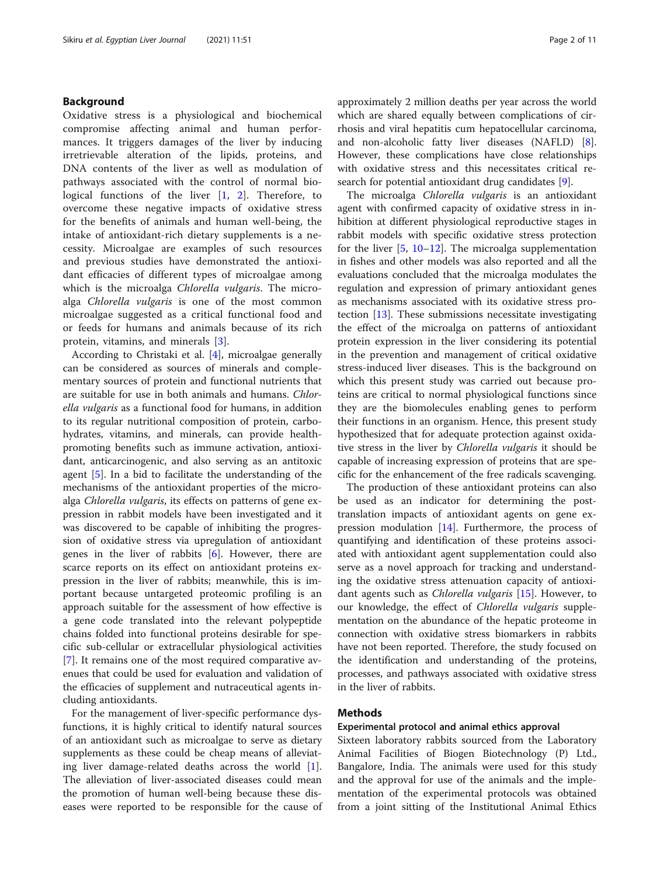# Background

Oxidative stress is a physiological and biochemical compromise affecting animal and human performances. It triggers damages of the liver by inducing irretrievable alteration of the lipids, proteins, and DNA contents of the liver as well as modulation of pathways associated with the control of normal biological functions of the liver  $\begin{bmatrix} 1 \\ 2 \end{bmatrix}$  $\begin{bmatrix} 1 \\ 2 \end{bmatrix}$  $\begin{bmatrix} 1 \\ 2 \end{bmatrix}$  $\begin{bmatrix} 1 \\ 2 \end{bmatrix}$  $\begin{bmatrix} 1 \\ 2 \end{bmatrix}$ . Therefore, to overcome these negative impacts of oxidative stress for the benefits of animals and human well-being, the intake of antioxidant-rich dietary supplements is a necessity. Microalgae are examples of such resources and previous studies have demonstrated the antioxidant efficacies of different types of microalgae among which is the microalga Chlorella vulgaris. The microalga Chlorella vulgaris is one of the most common microalgae suggested as a critical functional food and or feeds for humans and animals because of its rich protein, vitamins, and minerals [[3\]](#page-9-0).

According to Christaki et al. [[4\]](#page-9-0), microalgae generally can be considered as sources of minerals and complementary sources of protein and functional nutrients that are suitable for use in both animals and humans. Chlorella vulgaris as a functional food for humans, in addition to its regular nutritional composition of protein, carbohydrates, vitamins, and minerals, can provide healthpromoting benefits such as immune activation, antioxidant, anticarcinogenic, and also serving as an antitoxic agent [[5\]](#page-9-0). In a bid to facilitate the understanding of the mechanisms of the antioxidant properties of the microalga Chlorella vulgaris, its effects on patterns of gene expression in rabbit models have been investigated and it was discovered to be capable of inhibiting the progression of oxidative stress via upregulation of antioxidant genes in the liver of rabbits  $[6]$  $[6]$ . However, there are scarce reports on its effect on antioxidant proteins expression in the liver of rabbits; meanwhile, this is important because untargeted proteomic profiling is an approach suitable for the assessment of how effective is a gene code translated into the relevant polypeptide chains folded into functional proteins desirable for specific sub-cellular or extracellular physiological activities [[7\]](#page-9-0). It remains one of the most required comparative avenues that could be used for evaluation and validation of the efficacies of supplement and nutraceutical agents including antioxidants.

For the management of liver-specific performance dysfunctions, it is highly critical to identify natural sources of an antioxidant such as microalgae to serve as dietary supplements as these could be cheap means of alleviating liver damage-related deaths across the world [\[1](#page-9-0)]. The alleviation of liver-associated diseases could mean the promotion of human well-being because these diseases were reported to be responsible for the cause of approximately 2 million deaths per year across the world which are shared equally between complications of cirrhosis and viral hepatitis cum hepatocellular carcinoma, and non-alcoholic fatty liver diseases (NAFLD) [\[8](#page-9-0)]. However, these complications have close relationships with oxidative stress and this necessitates critical re-search for potential antioxidant drug candidates [\[9](#page-9-0)].

The microalga Chlorella vulgaris is an antioxidant agent with confirmed capacity of oxidative stress in inhibition at different physiological reproductive stages in rabbit models with specific oxidative stress protection for the liver [\[5](#page-9-0), [10](#page-9-0)–[12\]](#page-9-0). The microalga supplementation in fishes and other models was also reported and all the evaluations concluded that the microalga modulates the regulation and expression of primary antioxidant genes as mechanisms associated with its oxidative stress protection [[13\]](#page-9-0). These submissions necessitate investigating the effect of the microalga on patterns of antioxidant protein expression in the liver considering its potential in the prevention and management of critical oxidative stress-induced liver diseases. This is the background on which this present study was carried out because proteins are critical to normal physiological functions since they are the biomolecules enabling genes to perform their functions in an organism. Hence, this present study hypothesized that for adequate protection against oxidative stress in the liver by Chlorella vulgaris it should be capable of increasing expression of proteins that are specific for the enhancement of the free radicals scavenging.

The production of these antioxidant proteins can also be used as an indicator for determining the posttranslation impacts of antioxidant agents on gene expression modulation [[14](#page-9-0)]. Furthermore, the process of quantifying and identification of these proteins associated with antioxidant agent supplementation could also serve as a novel approach for tracking and understanding the oxidative stress attenuation capacity of antioxidant agents such as Chlorella vulgaris [\[15](#page-9-0)]. However, to our knowledge, the effect of Chlorella vulgaris supplementation on the abundance of the hepatic proteome in connection with oxidative stress biomarkers in rabbits have not been reported. Therefore, the study focused on the identification and understanding of the proteins, processes, and pathways associated with oxidative stress in the liver of rabbits.

# Methods

### Experimental protocol and animal ethics approval

Sixteen laboratory rabbits sourced from the Laboratory Animal Facilities of Biogen Biotechnology (P) Ltd., Bangalore, India. The animals were used for this study and the approval for use of the animals and the implementation of the experimental protocols was obtained from a joint sitting of the Institutional Animal Ethics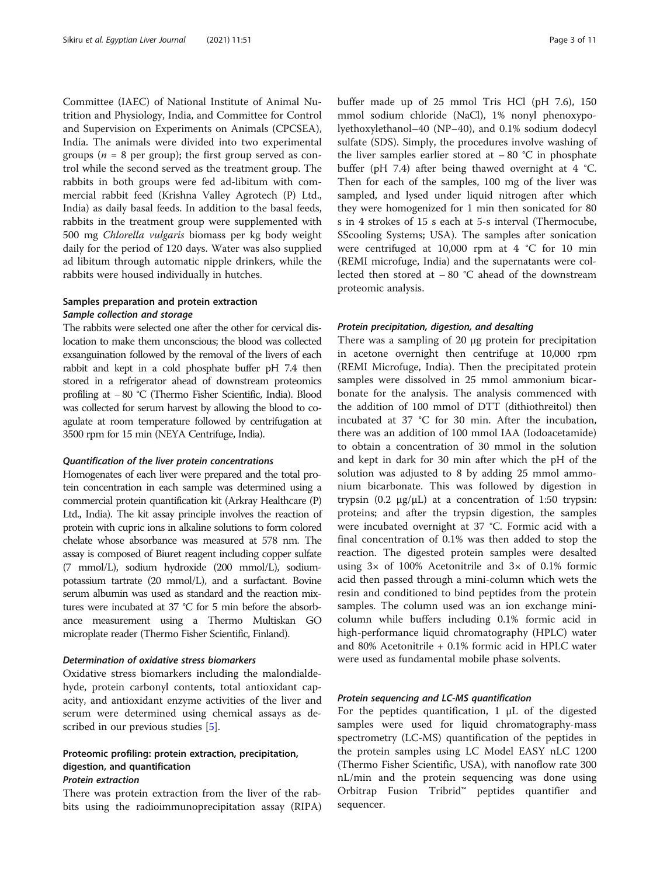Committee (IAEC) of National Institute of Animal Nutrition and Physiology, India, and Committee for Control and Supervision on Experiments on Animals (CPCSEA), India. The animals were divided into two experimental groups ( $n = 8$  per group); the first group served as control while the second served as the treatment group. The rabbits in both groups were fed ad-libitum with commercial rabbit feed (Krishna Valley Agrotech (P) Ltd., India) as daily basal feeds. In addition to the basal feeds, rabbits in the treatment group were supplemented with 500 mg Chlorella vulgaris biomass per kg body weight daily for the period of 120 days. Water was also supplied ad libitum through automatic nipple drinkers, while the rabbits were housed individually in hutches.

# Samples preparation and protein extraction Sample collection and storage

The rabbits were selected one after the other for cervical dislocation to make them unconscious; the blood was collected exsanguination followed by the removal of the livers of each rabbit and kept in a cold phosphate buffer pH 7.4 then stored in a refrigerator ahead of downstream proteomics profiling at − 80 °C (Thermo Fisher Scientific, India). Blood was collected for serum harvest by allowing the blood to coagulate at room temperature followed by centrifugation at 3500 rpm for 15 min (NEYA Centrifuge, India).

#### Quantification of the liver protein concentrations

Homogenates of each liver were prepared and the total protein concentration in each sample was determined using a commercial protein quantification kit (Arkray Healthcare (P) Ltd., India). The kit assay principle involves the reaction of protein with cupric ions in alkaline solutions to form colored chelate whose absorbance was measured at 578 nm. The assay is composed of Biuret reagent including copper sulfate (7 mmol/L), sodium hydroxide (200 mmol/L), sodiumpotassium tartrate (20 mmol/L), and a surfactant. Bovine serum albumin was used as standard and the reaction mixtures were incubated at 37 °C for 5 min before the absorbance measurement using a Thermo Multiskan GO microplate reader (Thermo Fisher Scientific, Finland).

# Determination of oxidative stress biomarkers

Oxidative stress biomarkers including the malondialdehyde, protein carbonyl contents, total antioxidant capacity, and antioxidant enzyme activities of the liver and serum were determined using chemical assays as described in our previous studies [[5](#page-9-0)].

# Proteomic profiling: protein extraction, precipitation, digestion, and quantification Protein extraction

There was protein extraction from the liver of the rabbits using the radioimmunoprecipitation assay (RIPA) buffer made up of 25 mmol Tris HCl (pH 7.6), 150 mmol sodium chloride (NaCl), 1% nonyl phenoxypolyethoxylethanol–40 (NP–40), and 0.1% sodium dodecyl sulfate (SDS). Simply, the procedures involve washing of the liver samples earlier stored at  $-80$  °C in phosphate buffer (pH 7.4) after being thawed overnight at  $4 \text{ }^{\circ}C$ . Then for each of the samples, 100 mg of the liver was sampled, and lysed under liquid nitrogen after which they were homogenized for 1 min then sonicated for 80 s in 4 strokes of 15 s each at 5-s interval (Thermocube, SScooling Systems; USA). The samples after sonication were centrifuged at 10,000 rpm at 4 °C for 10 min (REMI microfuge, India) and the supernatants were collected then stored at  $-80$  °C ahead of the downstream proteomic analysis.

# Protein precipitation, digestion, and desalting

There was a sampling of 20 μg protein for precipitation in acetone overnight then centrifuge at 10,000 rpm (REMI Microfuge, India). Then the precipitated protein samples were dissolved in 25 mmol ammonium bicarbonate for the analysis. The analysis commenced with the addition of 100 mmol of DTT (dithiothreitol) then incubated at 37 °C for 30 min. After the incubation, there was an addition of 100 mmol IAA (Iodoacetamide) to obtain a concentration of 30 mmol in the solution and kept in dark for 30 min after which the pH of the solution was adjusted to 8 by adding 25 mmol ammonium bicarbonate. This was followed by digestion in trypsin (0.2 μg/μL) at a concentration of 1:50 trypsin: proteins; and after the trypsin digestion, the samples were incubated overnight at 37 °C. Formic acid with a final concentration of 0.1% was then added to stop the reaction. The digested protein samples were desalted using  $3 \times$  of 100% Acetonitrile and  $3 \times$  of 0.1% formic acid then passed through a mini-column which wets the resin and conditioned to bind peptides from the protein samples. The column used was an ion exchange minicolumn while buffers including 0.1% formic acid in high-performance liquid chromatography (HPLC) water and 80% Acetonitrile + 0.1% formic acid in HPLC water were used as fundamental mobile phase solvents.

# Protein sequencing and LC-MS quantification

For the peptides quantification,  $1 \mu L$  of the digested samples were used for liquid chromatography-mass spectrometry (LC-MS) quantification of the peptides in the protein samples using LC Model EASY nLC 1200 (Thermo Fisher Scientific, USA), with nanoflow rate 300 nL/min and the protein sequencing was done using Orbitrap Fusion Tribrid™ peptides quantifier and sequencer.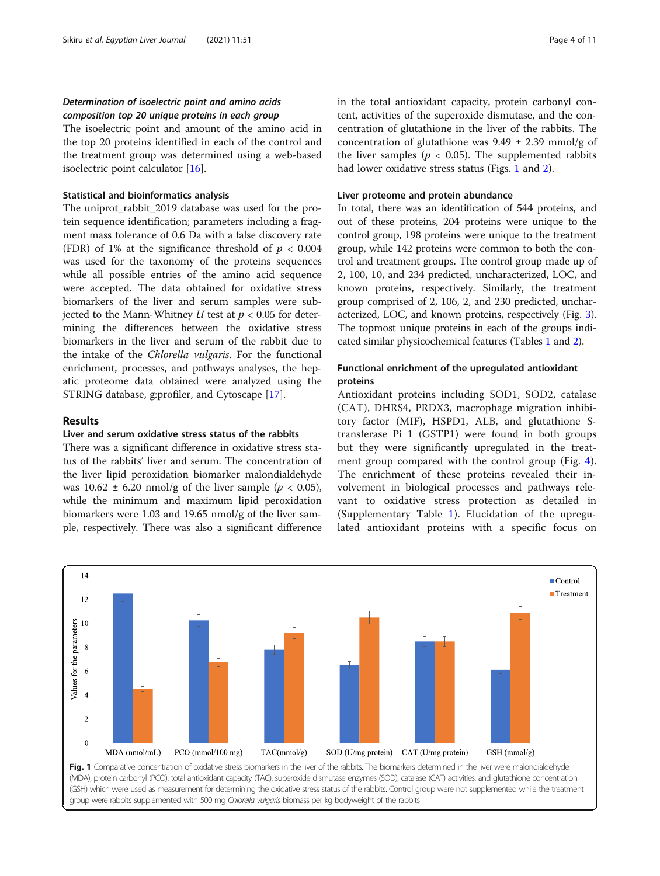# Determination of isoelectric point and amino acids composition top 20 unique proteins in each group

The isoelectric point and amount of the amino acid in the top 20 proteins identified in each of the control and the treatment group was determined using a web-based isoelectric point calculator [\[16\]](#page-9-0).

# Statistical and bioinformatics analysis

The uniprot\_rabbit\_2019 database was used for the protein sequence identification; parameters including a fragment mass tolerance of 0.6 Da with a false discovery rate (FDR) of 1% at the significance threshold of  $p < 0.004$ was used for the taxonomy of the proteins sequences while all possible entries of the amino acid sequence were accepted. The data obtained for oxidative stress biomarkers of the liver and serum samples were subjected to the Mann-Whitney  $U$  test at  $p < 0.05$  for determining the differences between the oxidative stress biomarkers in the liver and serum of the rabbit due to the intake of the Chlorella vulgaris. For the functional enrichment, processes, and pathways analyses, the hepatic proteome data obtained were analyzed using the STRING database, g:profiler, and Cytoscape [[17\]](#page-9-0).

# Results

# Liver and serum oxidative stress status of the rabbits

There was a significant difference in oxidative stress status of the rabbits' liver and serum. The concentration of the liver lipid peroxidation biomarker malondialdehyde was  $10.62 \pm 6.20$  nmol/g of the liver sample ( $p < 0.05$ ), while the minimum and maximum lipid peroxidation biomarkers were 1.03 and 19.65 nmol/g of the liver sample, respectively. There was also a significant difference

in the total antioxidant capacity, protein carbonyl content, activities of the superoxide dismutase, and the concentration of glutathione in the liver of the rabbits. The concentration of glutathione was  $9.49 \pm 2.39$  mmol/g of the liver samples ( $p < 0.05$ ). The supplemented rabbits had lower oxidative stress status (Figs. 1 and [2](#page-4-0)).

# Liver proteome and protein abundance

In total, there was an identification of 544 proteins, and out of these proteins, 204 proteins were unique to the control group, 198 proteins were unique to the treatment group, while 142 proteins were common to both the control and treatment groups. The control group made up of 2, 100, 10, and 234 predicted, uncharacterized, LOC, and known proteins, respectively. Similarly, the treatment group comprised of 2, 106, 2, and 230 predicted, uncharacterized, LOC, and known proteins, respectively (Fig. [3](#page-4-0)). The topmost unique proteins in each of the groups indicated similar physicochemical features (Tables [1](#page-5-0) and [2](#page-5-0)).

# Functional enrichment of the upregulated antioxidant proteins

Antioxidant proteins including SOD1, SOD2, catalase (CAT), DHRS4, PRDX3, macrophage migration inhibitory factor (MIF), HSPD1, ALB, and glutathione Stransferase Pi 1 (GSTP1) were found in both groups but they were significantly upregulated in the treatment group compared with the control group (Fig. [4](#page-6-0)). The enrichment of these proteins revealed their involvement in biological processes and pathways relevant to oxidative stress protection as detailed in (Supplementary Table [1\)](#page-8-0). Elucidation of the upregulated antioxidant proteins with a specific focus on

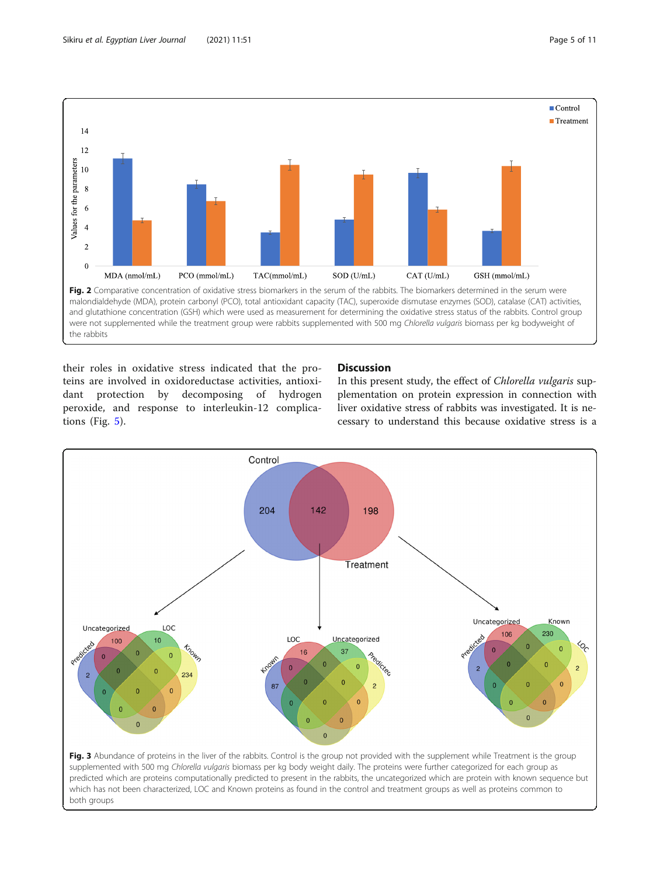<span id="page-4-0"></span>

were not supplemented while the treatment group were rabbits supplemented with 500 mg Chlorella vulgaris biomass per kg bodyweight of the rabbits

their roles in oxidative stress indicated that the proteins are involved in oxidoreductase activities, antioxidant protection by decomposing of hydrogen peroxide, and response to interleukin-12 complications (Fig. [5](#page-7-0)).

# **Discussion**

In this present study, the effect of Chlorella vulgaris supplementation on protein expression in connection with liver oxidative stress of rabbits was investigated. It is necessary to understand this because oxidative stress is a

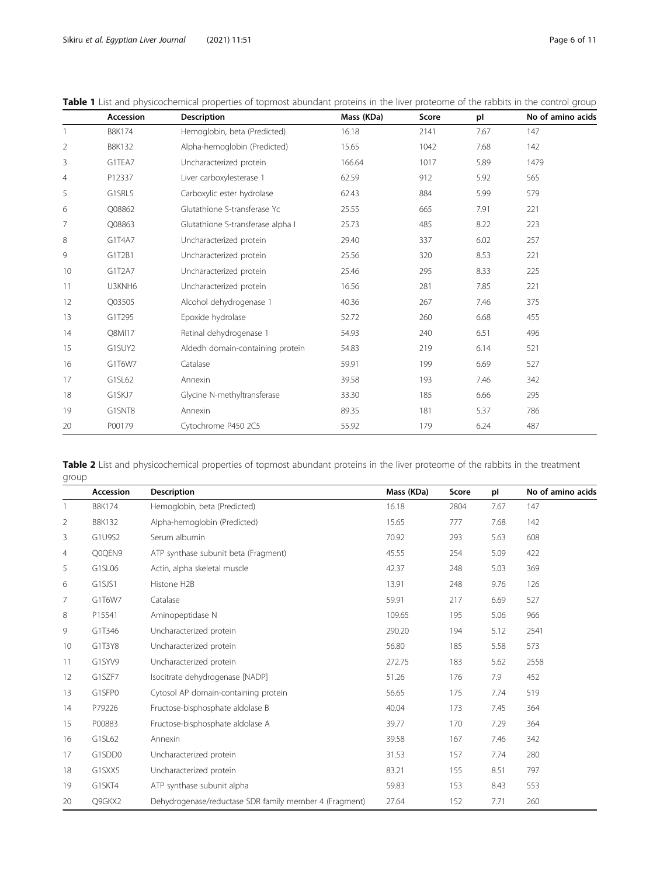|                | Accession     | <b>Description</b>                | Mass (KDa) | Score | pl   | No of amino acids |
|----------------|---------------|-----------------------------------|------------|-------|------|-------------------|
|                | <b>B8K174</b> | Hemoglobin, beta (Predicted)      | 16.18      | 2141  | 7.67 | 147               |
| 2              | <b>B8K132</b> | Alpha-hemoglobin (Predicted)      | 15.65      | 1042  | 7.68 | 142               |
| 3              | G1TEA7        | Uncharacterized protein           | 166.64     | 1017  | 5.89 | 1479              |
| $\overline{4}$ | P12337        | Liver carboxylesterase 1          | 62.59      | 912   | 5.92 | 565               |
| 5              | G1SRL5        | Carboxylic ester hydrolase        | 62.43      | 884   | 5.99 | 579               |
| 6              | Q08862        | Glutathione S-transferase Yc      | 25.55      | 665   | 7.91 | 221               |
| 7              | O08863        | Glutathione S-transferase alpha I | 25.73      | 485   | 8.22 | 223               |
| 8              | G1T4A7        | Uncharacterized protein           | 29.40      | 337   | 6.02 | 257               |
| 9              | G1T2B1        | Uncharacterized protein           | 25.56      | 320   | 8.53 | 221               |
| 10             | G1T2A7        | Uncharacterized protein           | 25.46      | 295   | 8.33 | 225               |
| 11             | U3KNH6        | Uncharacterized protein           | 16.56      | 281   | 7.85 | 221               |
| 12             | Q03505        | Alcohol dehydrogenase 1           | 40.36      | 267   | 7.46 | 375               |
| 13             | G1T295        | Epoxide hydrolase                 | 52.72      | 260   | 6.68 | 455               |
| 14             | Q8MI17        | Retinal dehydrogenase 1           | 54.93      | 240   | 6.51 | 496               |
| 15             | G1SUY2        | Aldedh domain-containing protein  | 54.83      | 219   | 6.14 | 521               |
| 16             | G1T6W7        | Catalase                          | 59.91      | 199   | 6.69 | 527               |
| 17             | G1SL62        | Annexin                           | 39.58      | 193   | 7.46 | 342               |
| 18             | G1SKJ7        | Glycine N-methyltransferase       | 33.30      | 185   | 6.66 | 295               |
| 19             | G1SNT8        | Annexin                           | 89.35      | 181   | 5.37 | 786               |
| 20             | P00179        | Cytochrome P450 2C5               | 55.92      | 179   | 6.24 | 487               |

<span id="page-5-0"></span>Table 1 List and physicochemical properties of topmost abundant proteins in the liver proteome of the rabbits in the control group

Table 2 List and physicochemical properties of topmost abundant proteins in the liver proteome of the rabbits in the treatment group

|    | <b>Accession</b> | <b>Description</b>                                     | Mass (KDa) | Score | pl   | No of amino acids |
|----|------------------|--------------------------------------------------------|------------|-------|------|-------------------|
|    | <b>B8K174</b>    | Hemoglobin, beta (Predicted)                           | 16.18      | 2804  | 7.67 | 147               |
| 2  | <b>B8K132</b>    | Alpha-hemoglobin (Predicted)                           | 15.65      | 777   | 7.68 | 142               |
| 3  | G1U9S2           | Serum albumin                                          | 70.92      | 293   | 5.63 | 608               |
| 4  | Q0QEN9           | ATP synthase subunit beta (Fragment)                   | 45.55      | 254   | 5.09 | 422               |
| 5  | G1SL06           | Actin, alpha skeletal muscle                           | 42.37      | 248   | 5.03 | 369               |
| 6  | G1SJS1           | Histone H2B                                            | 13.91      | 248   | 9.76 | 126               |
| 7  | G1T6W7           | Catalase                                               | 59.91      | 217   | 6.69 | 527               |
| 8  | P15541           | Aminopeptidase N                                       | 109.65     | 195   | 5.06 | 966               |
| 9  | G1T346           | Uncharacterized protein                                | 290.20     | 194   | 5.12 | 2541              |
| 10 | G1T3Y8           | Uncharacterized protein                                | 56.80      | 185   | 5.58 | 573               |
| 11 | G1SYV9           | Uncharacterized protein                                | 272.75     | 183   | 5.62 | 2558              |
| 12 | G1SZF7           | Isocitrate dehydrogenase [NADP]                        | 51.26      | 176   | 7.9  | 452               |
| 13 | G1SFP0           | Cytosol AP domain-containing protein                   | 56.65      | 175   | 7.74 | 519               |
| 14 | P79226           | Fructose-bisphosphate aldolase B                       | 40.04      | 173   | 7.45 | 364               |
| 15 | P00883           | Fructose-bisphosphate aldolase A                       | 39.77      | 170   | 7.29 | 364               |
| 16 | G1SL62           | Annexin                                                | 39.58      | 167   | 7.46 | 342               |
| 17 | G1SDD0           | Uncharacterized protein                                | 31.53      | 157   | 7.74 | 280               |
| 18 | G1SXX5           | Uncharacterized protein                                | 83.21      | 155   | 8.51 | 797               |
| 19 | G1SKT4           | ATP synthase subunit alpha                             | 59.83      | 153   | 8.43 | 553               |
| 20 | Q9GKX2           | Dehydrogenase/reductase SDR family member 4 (Fragment) | 27.64      | 152   | 7.71 | 260               |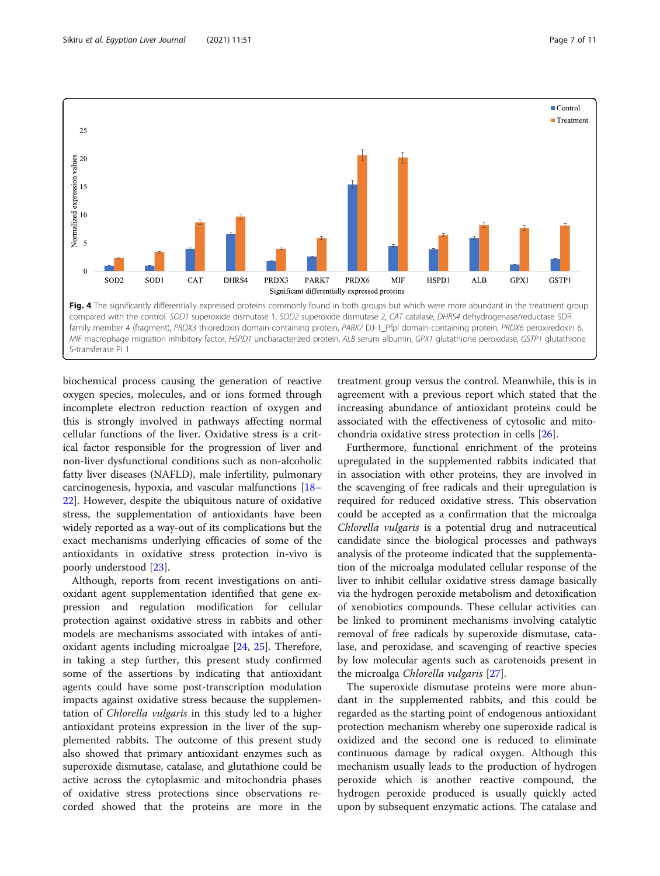<span id="page-6-0"></span>

biochemical process causing the generation of reactive oxygen species, molecules, and or ions formed through incomplete electron reduction reaction of oxygen and this is strongly involved in pathways affecting normal cellular functions of the liver. Oxidative stress is a critical factor responsible for the progression of liver and non-liver dysfunctional conditions such as non-alcoholic fatty liver diseases (NAFLD), male infertility, pulmonary carcinogenesis, hypoxia, and vascular malfunctions [[18](#page-9-0)– [22\]](#page-9-0). However, despite the ubiquitous nature of oxidative stress, the supplementation of antioxidants have been widely reported as a way-out of its complications but the exact mechanisms underlying efficacies of some of the antioxidants in oxidative stress protection in-vivo is poorly understood [\[23](#page-9-0)].

Although, reports from recent investigations on antioxidant agent supplementation identified that gene expression and regulation modification for cellular protection against oxidative stress in rabbits and other models are mechanisms associated with intakes of antioxidant agents including microalgae [[24](#page-9-0), [25](#page-10-0)]. Therefore, in taking a step further, this present study confirmed some of the assertions by indicating that antioxidant agents could have some post-transcription modulation impacts against oxidative stress because the supplementation of Chlorella vulgaris in this study led to a higher antioxidant proteins expression in the liver of the supplemented rabbits. The outcome of this present study also showed that primary antioxidant enzymes such as superoxide dismutase, catalase, and glutathione could be active across the cytoplasmic and mitochondria phases of oxidative stress protections since observations recorded showed that the proteins are more in the

treatment group versus the control. Meanwhile, this is in agreement with a previous report which stated that the increasing abundance of antioxidant proteins could be associated with the effectiveness of cytosolic and mitochondria oxidative stress protection in cells [[26\]](#page-10-0).

Furthermore, functional enrichment of the proteins upregulated in the supplemented rabbits indicated that in association with other proteins, they are involved in the scavenging of free radicals and their upregulation is required for reduced oxidative stress. This observation could be accepted as a confirmation that the microalga Chlorella vulgaris is a potential drug and nutraceutical candidate since the biological processes and pathways analysis of the proteome indicated that the supplementation of the microalga modulated cellular response of the liver to inhibit cellular oxidative stress damage basically via the hydrogen peroxide metabolism and detoxification of xenobiotics compounds. These cellular activities can be linked to prominent mechanisms involving catalytic removal of free radicals by superoxide dismutase, catalase, and peroxidase, and scavenging of reactive species by low molecular agents such as carotenoids present in the microalga Chlorella vulgaris [[27\]](#page-10-0).

The superoxide dismutase proteins were more abundant in the supplemented rabbits, and this could be regarded as the starting point of endogenous antioxidant protection mechanism whereby one superoxide radical is oxidized and the second one is reduced to eliminate continuous damage by radical oxygen. Although this mechanism usually leads to the production of hydrogen peroxide which is another reactive compound, the hydrogen peroxide produced is usually quickly acted upon by subsequent enzymatic actions. The catalase and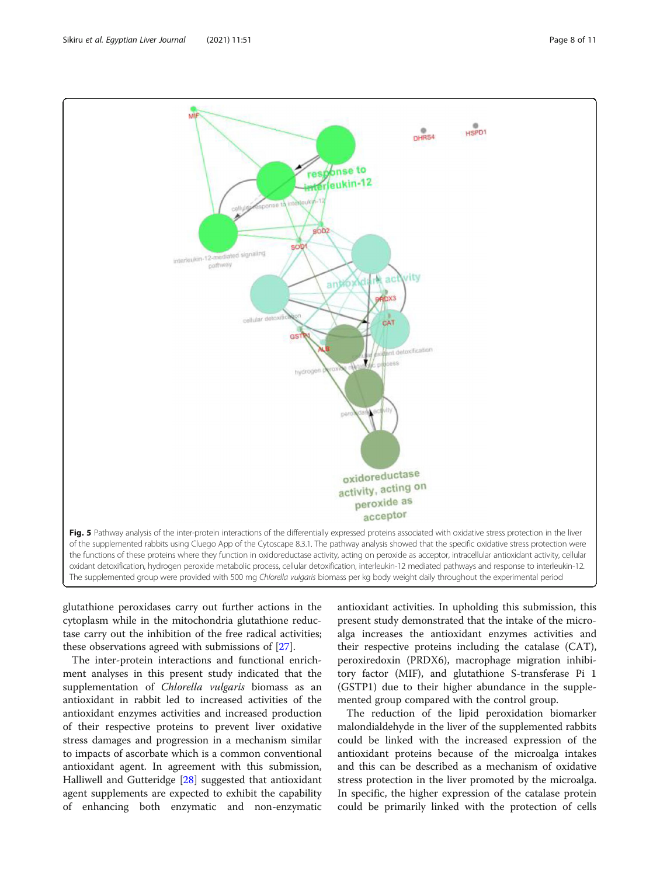<span id="page-7-0"></span>

glutathione peroxidases carry out further actions in the cytoplasm while in the mitochondria glutathione reductase carry out the inhibition of the free radical activities; these observations agreed with submissions of [[27](#page-10-0)].

The inter-protein interactions and functional enrichment analyses in this present study indicated that the supplementation of Chlorella vulgaris biomass as an antioxidant in rabbit led to increased activities of the antioxidant enzymes activities and increased production of their respective proteins to prevent liver oxidative stress damages and progression in a mechanism similar to impacts of ascorbate which is a common conventional antioxidant agent. In agreement with this submission, Halliwell and Gutteridge [\[28](#page-10-0)] suggested that antioxidant agent supplements are expected to exhibit the capability of enhancing both enzymatic and non-enzymatic

antioxidant activities. In upholding this submission, this present study demonstrated that the intake of the microalga increases the antioxidant enzymes activities and their respective proteins including the catalase (CAT), peroxiredoxin (PRDX6), macrophage migration inhibitory factor (MIF), and glutathione S-transferase Pi 1 (GSTP1) due to their higher abundance in the supplemented group compared with the control group.

The reduction of the lipid peroxidation biomarker malondialdehyde in the liver of the supplemented rabbits could be linked with the increased expression of the antioxidant proteins because of the microalga intakes and this can be described as a mechanism of oxidative stress protection in the liver promoted by the microalga. In specific, the higher expression of the catalase protein could be primarily linked with the protection of cells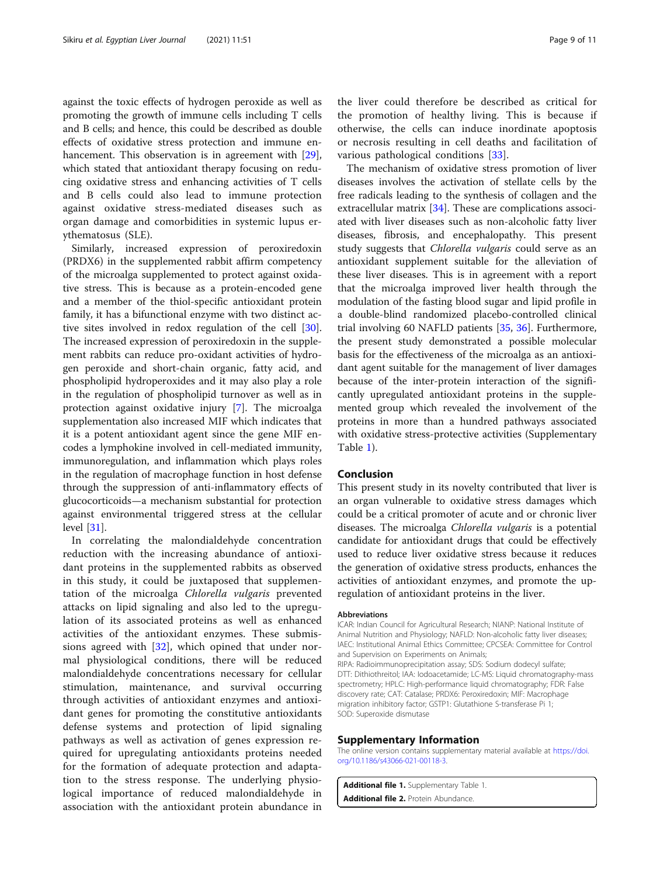<span id="page-8-0"></span>against the toxic effects of hydrogen peroxide as well as promoting the growth of immune cells including T cells and B cells; and hence, this could be described as double effects of oxidative stress protection and immune en-hancement. This observation is in agreement with [\[29](#page-10-0)], which stated that antioxidant therapy focusing on reducing oxidative stress and enhancing activities of T cells and B cells could also lead to immune protection against oxidative stress-mediated diseases such as organ damage and comorbidities in systemic lupus erythematosus (SLE).

Similarly, increased expression of peroxiredoxin (PRDX6) in the supplemented rabbit affirm competency of the microalga supplemented to protect against oxidative stress. This is because as a protein-encoded gene and a member of the thiol-specific antioxidant protein family, it has a bifunctional enzyme with two distinct active sites involved in redox regulation of the cell [\[30](#page-10-0)]. The increased expression of peroxiredoxin in the supplement rabbits can reduce pro-oxidant activities of hydrogen peroxide and short-chain organic, fatty acid, and phospholipid hydroperoxides and it may also play a role in the regulation of phospholipid turnover as well as in protection against oxidative injury [\[7\]](#page-9-0). The microalga supplementation also increased MIF which indicates that it is a potent antioxidant agent since the gene MIF encodes a lymphokine involved in cell-mediated immunity, immunoregulation, and inflammation which plays roles in the regulation of macrophage function in host defense through the suppression of anti-inflammatory effects of glucocorticoids—a mechanism substantial for protection against environmental triggered stress at the cellular level [\[31](#page-10-0)].

In correlating the malondialdehyde concentration reduction with the increasing abundance of antioxidant proteins in the supplemented rabbits as observed in this study, it could be juxtaposed that supplementation of the microalga Chlorella vulgaris prevented attacks on lipid signaling and also led to the upregulation of its associated proteins as well as enhanced activities of the antioxidant enzymes. These submissions agreed with  $[32]$  $[32]$ , which opined that under normal physiological conditions, there will be reduced malondialdehyde concentrations necessary for cellular stimulation, maintenance, and survival occurring through activities of antioxidant enzymes and antioxidant genes for promoting the constitutive antioxidants defense systems and protection of lipid signaling pathways as well as activation of genes expression required for upregulating antioxidants proteins needed for the formation of adequate protection and adaptation to the stress response. The underlying physiological importance of reduced malondialdehyde in association with the antioxidant protein abundance in

the liver could therefore be described as critical for the promotion of healthy living. This is because if otherwise, the cells can induce inordinate apoptosis or necrosis resulting in cell deaths and facilitation of various pathological conditions [[33\]](#page-10-0).

The mechanism of oxidative stress promotion of liver diseases involves the activation of stellate cells by the free radicals leading to the synthesis of collagen and the extracellular matrix [[34](#page-10-0)]. These are complications associated with liver diseases such as non-alcoholic fatty liver diseases, fibrosis, and encephalopathy. This present study suggests that Chlorella vulgaris could serve as an antioxidant supplement suitable for the alleviation of these liver diseases. This is in agreement with a report that the microalga improved liver health through the modulation of the fasting blood sugar and lipid profile in a double-blind randomized placebo-controlled clinical trial involving 60 NAFLD patients [\[35,](#page-10-0) [36\]](#page-10-0). Furthermore, the present study demonstrated a possible molecular basis for the effectiveness of the microalga as an antioxidant agent suitable for the management of liver damages because of the inter-protein interaction of the significantly upregulated antioxidant proteins in the supplemented group which revealed the involvement of the proteins in more than a hundred pathways associated with oxidative stress-protective activities (Supplementary Table 1).

# Conclusion

This present study in its novelty contributed that liver is an organ vulnerable to oxidative stress damages which could be a critical promoter of acute and or chronic liver diseases. The microalga Chlorella vulgaris is a potential candidate for antioxidant drugs that could be effectively used to reduce liver oxidative stress because it reduces the generation of oxidative stress products, enhances the activities of antioxidant enzymes, and promote the upregulation of antioxidant proteins in the liver.

#### **Abbreviations**

ICAR: Indian Council for Agricultural Research; NIANP: National Institute of Animal Nutrition and Physiology; NAFLD: Non-alcoholic fatty liver diseases; IAEC: Institutional Animal Ethics Committee; CPCSEA: Committee for Control and Supervision on Experiments on Animals; RIPA: Radioimmunoprecipitation assay; SDS: Sodium dodecyl sulfate; DTT: Dithiothreitol; IAA: Iodoacetamide; LC-MS: Liquid chromatography-mass spectrometry; HPLC: High-performance liquid chromatography; FDR: False discovery rate; CAT: Catalase; PRDX6: Peroxiredoxin; MIF: Macrophage migration inhibitory factor; GSTP1: Glutathione S-transferase Pi 1; SOD: Superoxide dismutase

#### Supplementary Information

The online version contains supplementary material available at [https://doi.](https://doi.org/10.1186/s43066-021-00118-3) [org/10.1186/s43066-021-00118-3.](https://doi.org/10.1186/s43066-021-00118-3)

Additional file 1. Supplementary Table 1. Additional file 2. Protein Abundance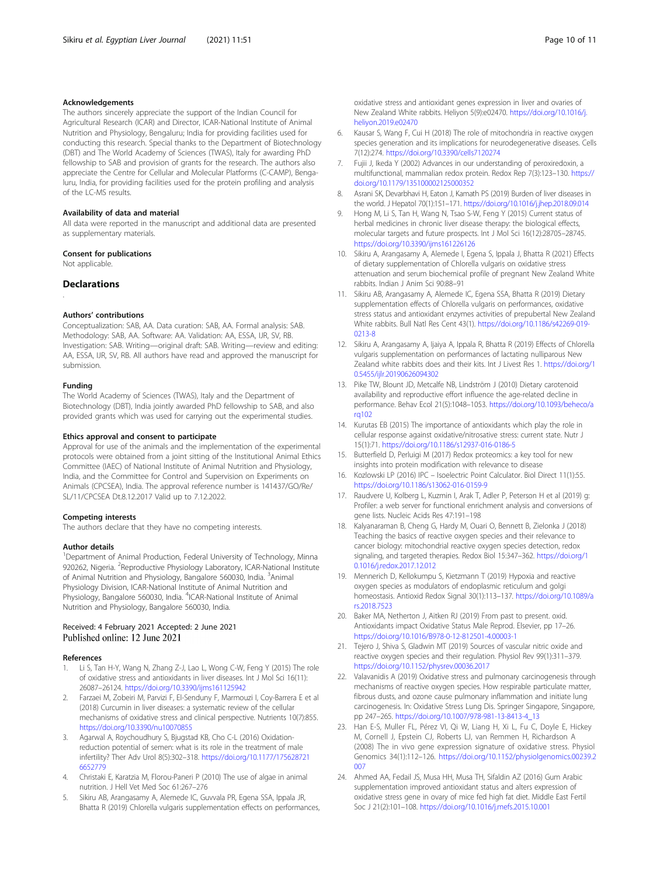# <span id="page-9-0"></span>Acknowledgements

The authors sincerely appreciate the support of the Indian Council for Agricultural Research (ICAR) and Director, ICAR-National Institute of Animal Nutrition and Physiology, Bengaluru; India for providing facilities used for conducting this research. Special thanks to the Department of Biotechnology (DBT) and The World Academy of Sciences (TWAS), Italy for awarding PhD fellowship to SAB and provision of grants for the research. The authors also appreciate the Centre for Cellular and Molecular Platforms (C-CAMP), Bengaluru, India, for providing facilities used for the protein profiling and analysis of the LC-MS results.

#### Availability of data and material

All data were reported in the manuscript and additional data are presented as supplementary materials.

# Consent for publications

Not applicable.

# Declarations

.

#### Authors' contributions

Conceptualization: SAB, AA. Data curation: SAB, AA. Formal analysis: SAB. Methodology: SAB, AA. Software: AA. Validation: AA, ESSA, IJR, SV, RB. Investigation: SAB. Writing—original draft: SAB. Writing—review and editing: AA, ESSA, IJR, SV, RB. All authors have read and approved the manuscript for submission.

#### Funding

The World Academy of Sciences (TWAS), Italy and the Department of Biotechnology (DBT), India jointly awarded PhD fellowship to SAB, and also provided grants which was used for carrying out the experimental studies.

#### Ethics approval and consent to participate

Approval for use of the animals and the implementation of the experimental protocols were obtained from a joint sitting of the Institutional Animal Ethics Committee (IAEC) of National Institute of Animal Nutrition and Physiology, India, and the Committee for Control and Supervision on Experiments on Animals (CPCSEA), India. The approval reference number is 141437/GO/Re/ SL/11/CPCSEA Dt.8.12.2017 Valid up to 7.12.2022.

#### Competing interests

The authors declare that they have no competing interests.

#### Author details

<sup>1</sup>Department of Animal Production, Federal University of Technology, Minna 920262, Nigeria. <sup>2</sup>Reproductive Physiology Laboratory, ICAR-National Institute of Animal Nutrition and Physiology, Bangalore 560030, India. <sup>3</sup>Animal Physiology Division, ICAR-National Institute of Animal Nutrition and Physiology, Bangalore 560030, India. <sup>4</sup>ICAR-National Institute of Animal Nutrition and Physiology, Bangalore 560030, India.

# Received: 4 February 2021 Accepted: 2 June 2021 Published online: 12 June 2021

#### References

- 1. Li S, Tan H-Y, Wang N, Zhang Z-J, Lao L, Wong C-W, Feng Y (2015) The role of oxidative stress and antioxidants in liver diseases. Int J Mol Sci 16(11): 26087–26124. <https://doi.org/10.3390/ijms161125942>
- 2. Farzaei M, Zobeiri M, Parvizi F, El-Senduny F, Marmouzi I, Coy-Barrera E et al (2018) Curcumin in liver diseases: a systematic review of the cellular mechanisms of oxidative stress and clinical perspective. Nutrients 10(7):855. <https://doi.org/10.3390/nu10070855>
- 3. Agarwal A, Roychoudhury S, Bjugstad KB, Cho C-L (2016) Oxidationreduction potential of semen: what is its role in the treatment of male infertility? Ther Adv Urol 8(5):302–318. [https://doi.org/10.1177/175628721](https://doi.org/10.1177/1756287216652779) [6652779](https://doi.org/10.1177/1756287216652779)
- 4. Christaki E, Karatzia M, Florou-Paneri P (2010) The use of algae in animal nutrition. J Hell Vet Med Soc 61:267–276
- Sikiru AB, Arangasamy A, Alemede IC, Guvvala PR, Egena SSA, Ippala JR, Bhatta R (2019) Chlorella vulgaris supplementation effects on performances,

oxidative stress and antioxidant genes expression in liver and ovaries of New Zealand White rabbits. Heliyon 5(9):e02470. [https://doi.org/10.1016/j.](https://doi.org/10.1016/j.heliyon.2019.e02470) [heliyon.2019.e02470](https://doi.org/10.1016/j.heliyon.2019.e02470)

- 6. Kausar S, Wang F, Cui H (2018) The role of mitochondria in reactive oxygen species generation and its implications for neurodegenerative diseases. Cells 7(12):274. <https://doi.org/10.3390/cells7120274>
- 7. Fujii J, Ikeda Y (2002) Advances in our understanding of peroxiredoxin, a multifunctional, mammalian redox protein. Redox Rep 7(3):123–130. [https://](https://doi.org/10.1179/135100002125000352) [doi.org/10.1179/135100002125000352](https://doi.org/10.1179/135100002125000352)
- 8. Asrani SK, Devarbhavi H, Eaton J, Kamath PS (2019) Burden of liver diseases in the world. J Hepatol 70(1):151–171. <https://doi.org/10.1016/j.jhep.2018.09.014>
- 9. Hong M, Li S, Tan H, Wang N, Tsao S-W, Feng Y (2015) Current status of herbal medicines in chronic liver disease therapy: the biological effects, molecular targets and future prospects. Int J Mol Sci 16(12):28705–28745. <https://doi.org/10.3390/ijms161226126>
- 10. Sikiru A, Arangasamy A, Alemede I, Egena S, Ippala J, Bhatta R (2021) Effects of dietary supplementation of Chlorella vulgaris on oxidative stress attenuation and serum biochemical profile of pregnant New Zealand White rabbits. Indian J Anim Sci 90:88–91
- 11. Sikiru AB, Arangasamy A, Alemede IC, Egena SSA, Bhatta R (2019) Dietary supplementation effects of Chlorella vulgaris on performances, oxidative stress status and antioxidant enzymes activities of prepubertal New Zealand White rabbits. Bull Natl Res Cent 43(1). [https://doi.org/10.1186/s42269-019-](https://doi.org/10.1186/s42269-019-0213-8) [0213-8](https://doi.org/10.1186/s42269-019-0213-8)
- 12. Sikiru A, Arangasamy A, Ijaiya A, Ippala R, Bhatta R (2019) Effects of Chlorella vulgaris supplementation on performances of lactating nulliparous New Zealand white rabbits does and their kits. Int J Livest Res 1. [https://doi.org/1](https://doi.org/10.5455/ijlr.20190626094302) [0.5455/ijlr.20190626094302](https://doi.org/10.5455/ijlr.20190626094302)
- 13. Pike TW, Blount JD, Metcalfe NB, Lindström J (2010) Dietary carotenoid availability and reproductive effort influence the age-related decline in performance. Behav Ecol 21(5):1048–1053. [https://doi.org/10.1093/beheco/a](https://doi.org/10.1093/beheco/arq102) rg102
- 14. Kurutas EB (2015) The importance of antioxidants which play the role in cellular response against oxidative/nitrosative stress: current state. Nutr J 15(1):71. <https://doi.org/10.1186/s12937-016-0186-5>
- 15. Butterfield D, Perluigi M (2017) Redox proteomics: a key tool for new insights into protein modification with relevance to disease
- 16. Kozlowski LP (2016) IPC Isoelectric Point Calculator. Biol Direct 11(1):55. <https://doi.org/10.1186/s13062-016-0159-9>
- 17. Raudvere U, Kolberg L, Kuzmin I, Arak T, Adler P, Peterson H et al (2019) g: Profiler: a web server for functional enrichment analysis and conversions of gene lists. Nucleic Acids Res 47:191–198
- 18. Kalyanaraman B, Cheng G, Hardy M, Ouari O, Bennett B, Zielonka J (2018) Teaching the basics of reactive oxygen species and their relevance to cancer biology: mitochondrial reactive oxygen species detection, redox signaling, and targeted therapies. Redox Biol 15:347–362. [https://doi.org/1](https://doi.org/10.1016/j.redox.2017.12.012) [0.1016/j.redox.2017.12.012](https://doi.org/10.1016/j.redox.2017.12.012)
- 19. Mennerich D, Kellokumpu S, Kietzmann T (2019) Hypoxia and reactive oxygen species as modulators of endoplasmic reticulum and golgi homeostasis. Antioxid Redox Signal 30(1):113–137. [https://doi.org/10.1089/a](https://doi.org/10.1089/ars.2018.7523) [rs.2018.7523](https://doi.org/10.1089/ars.2018.7523)
- 20. Baker MA, Netherton J, Aitken RJ (2019) From past to present. oxid. Antioxidants impact Oxidative Status Male Reprod. Elsevier, pp 17–26. <https://doi.org/10.1016/B978-0-12-812501-4.00003-1>
- 21. Tejero J, Shiva S, Gladwin MT (2019) Sources of vascular nitric oxide and reactive oxygen species and their regulation. Physiol Rev 99(1):311–379. <https://doi.org/10.1152/physrev.00036.2017>
- 22. Valavanidis A (2019) Oxidative stress and pulmonary carcinogenesis through mechanisms of reactive oxygen species. How respirable particulate matter, fibrous dusts, and ozone cause pulmonary inflammation and initiate lung carcinogenesis. In: Oxidative Stress Lung Dis. Springer Singapore, Singapore, pp 247–265. [https://doi.org/10.1007/978-981-13-8413-4\\_13](https://doi.org/10.1007/978-981-13-8413-4_13)
- 23. Han E-S, Muller FL, Pérez VI, Qi W, Liang H, Xi L, Fu C, Doyle E, Hickey M, Cornell J, Epstein CJ, Roberts LJ, van Remmen H, Richardson A (2008) The in vivo gene expression signature of oxidative stress. Physiol Genomics 34(1):112–126. [https://doi.org/10.1152/physiolgenomics.00239.2](https://doi.org/10.1152/physiolgenomics.00239.2007) [007](https://doi.org/10.1152/physiolgenomics.00239.2007)
- 24. Ahmed AA, Fedail JS, Musa HH, Musa TH, Sifaldin AZ (2016) Gum Arabic supplementation improved antioxidant status and alters expression of oxidative stress gene in ovary of mice fed high fat diet. Middle East Fertil Soc J 21(2):101–108. <https://doi.org/10.1016/j.mefs.2015.10.001>